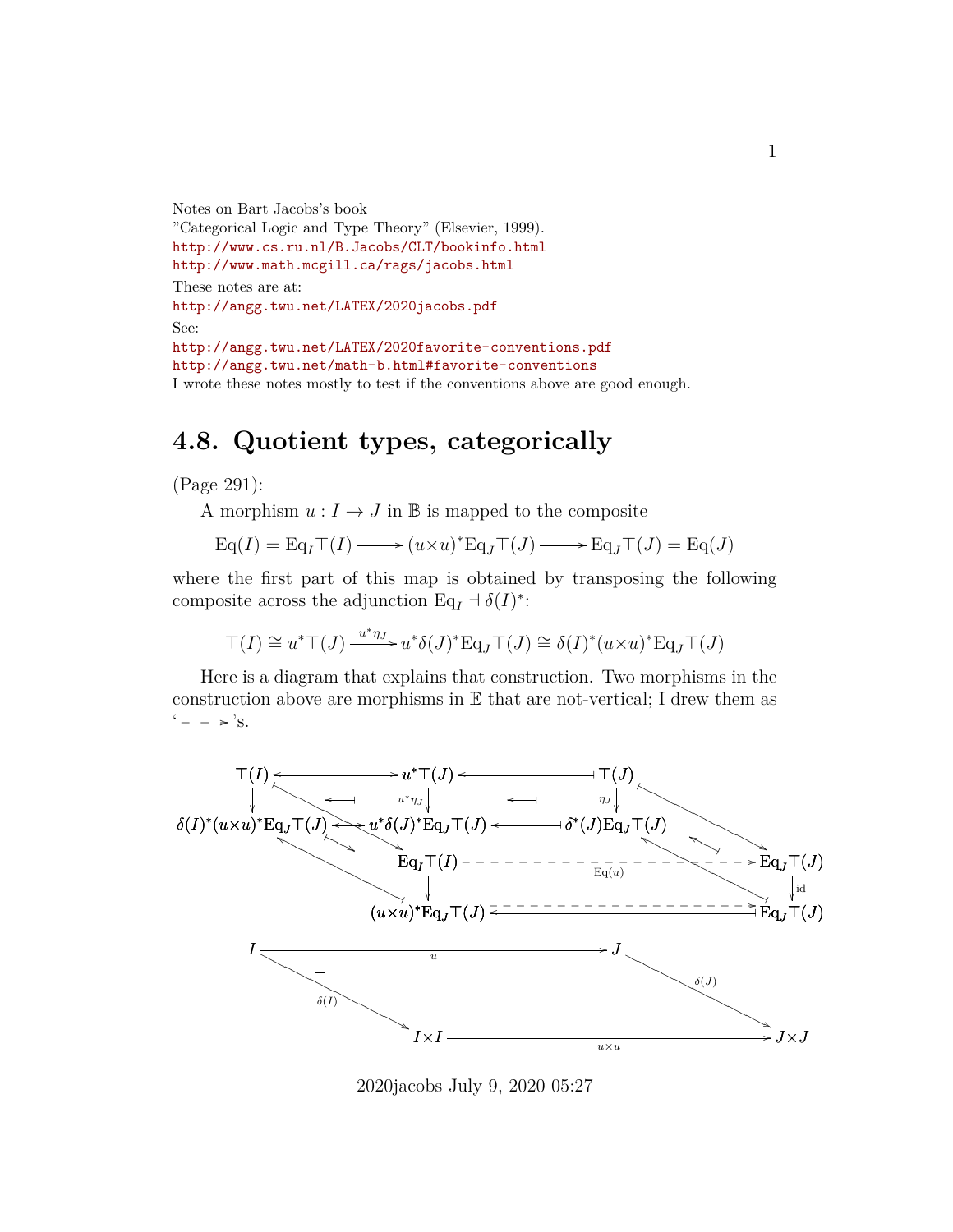```
Notes on Bart Jacobs's book
"Categorical Logic and Type Theory" (Elsevier, 1999).
http://www.cs.ru.nl/B.Jacobs/CLT/bookinfo.html
http://www.math.mcgill.ca/rags/jacobs.html
These notes are at:
http://angg.twu.net/LATEX/2020jacobs.pdf
See:
http://angg.twu.net/LATEX/2020favorite-conventions.pdf
http://angg.twu.net/math-b.html#favorite-conventions
I wrote these notes mostly to test if the conventions above are good enough.
```
# **4.8. Quotient types, categorically**

(Page 291):

A morphism  $u: I \to J$  in B is mapped to the composite

$$
\mathrm{Eq}(I) = \mathrm{Eq}_{I} \top (I) \longrightarrow (u \times u)^* \mathrm{Eq}_{J} \top (J) \longrightarrow \mathrm{Eq}_{J} \top (J) = \mathrm{Eq}(J)
$$

where the first part of this map is obtained by transposing the following composite across the adjunction  $Eq_I \doteq \delta(I)^*$ :

$$
\top(I) \cong u^* \top(J) \xrightarrow{u^* \eta_J} u^* \delta(J)^* \mathrm{Eq}_J \top(J) \cong \delta(I)^* (u \times u)^* \mathrm{Eq}_J \top(J)
$$

Here is a diagram that explains that construction. Two morphisms in the construction above are morphisms in E that are not-vertical; I drew them as  $' - - \rightarrow$ 's.



2020jacobs July 9, 2020 05:27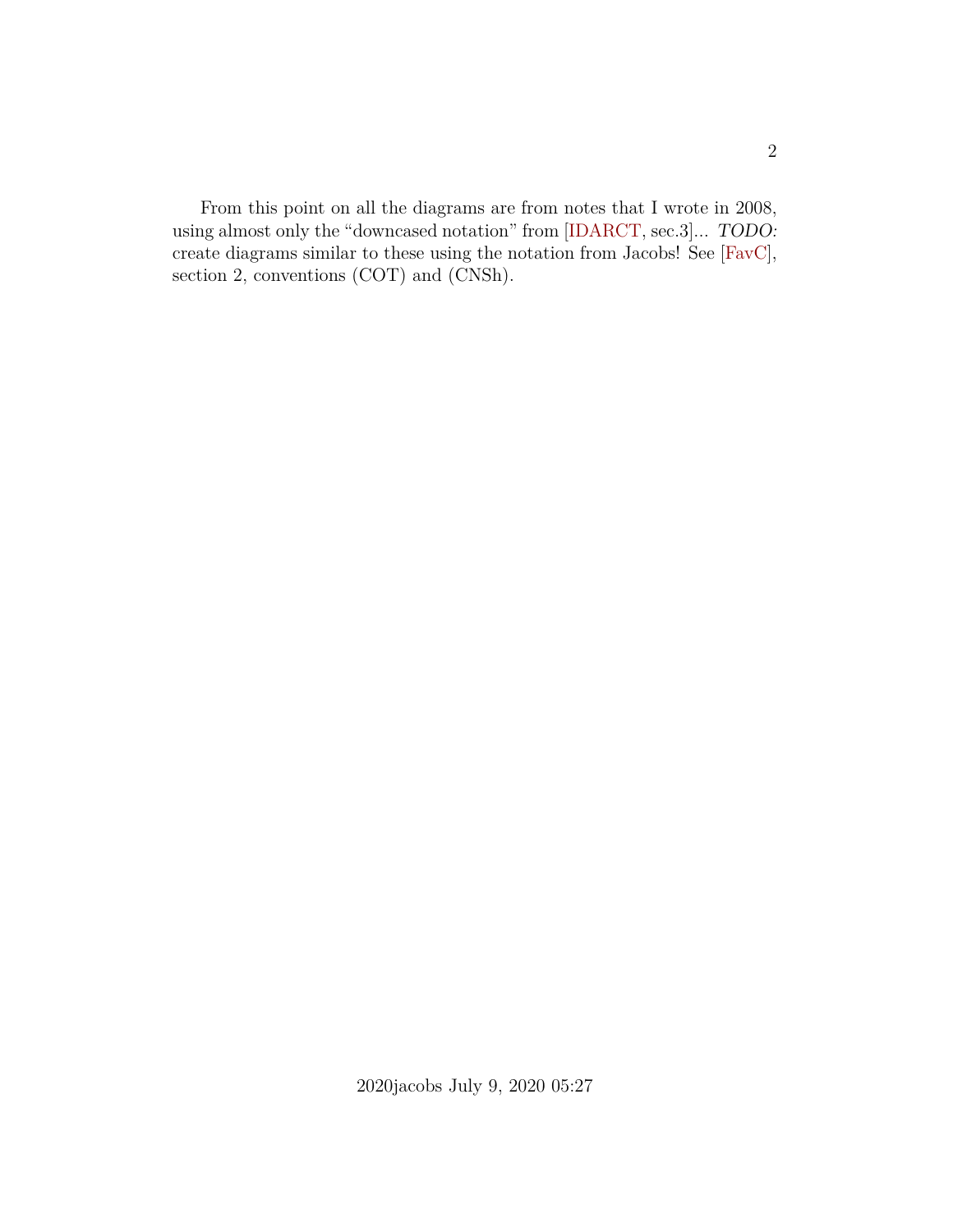From this point on all the diagrams are from notes that I wrote in 2008, using almost only the "downcased notation" from [\[IDARCT,](#page-11-0) sec.3]... TODO: create diagrams similar to these using the notation from Jacobs! See [\[FavC\]](#page-10-0), section 2, conventions (COT) and (CNSh).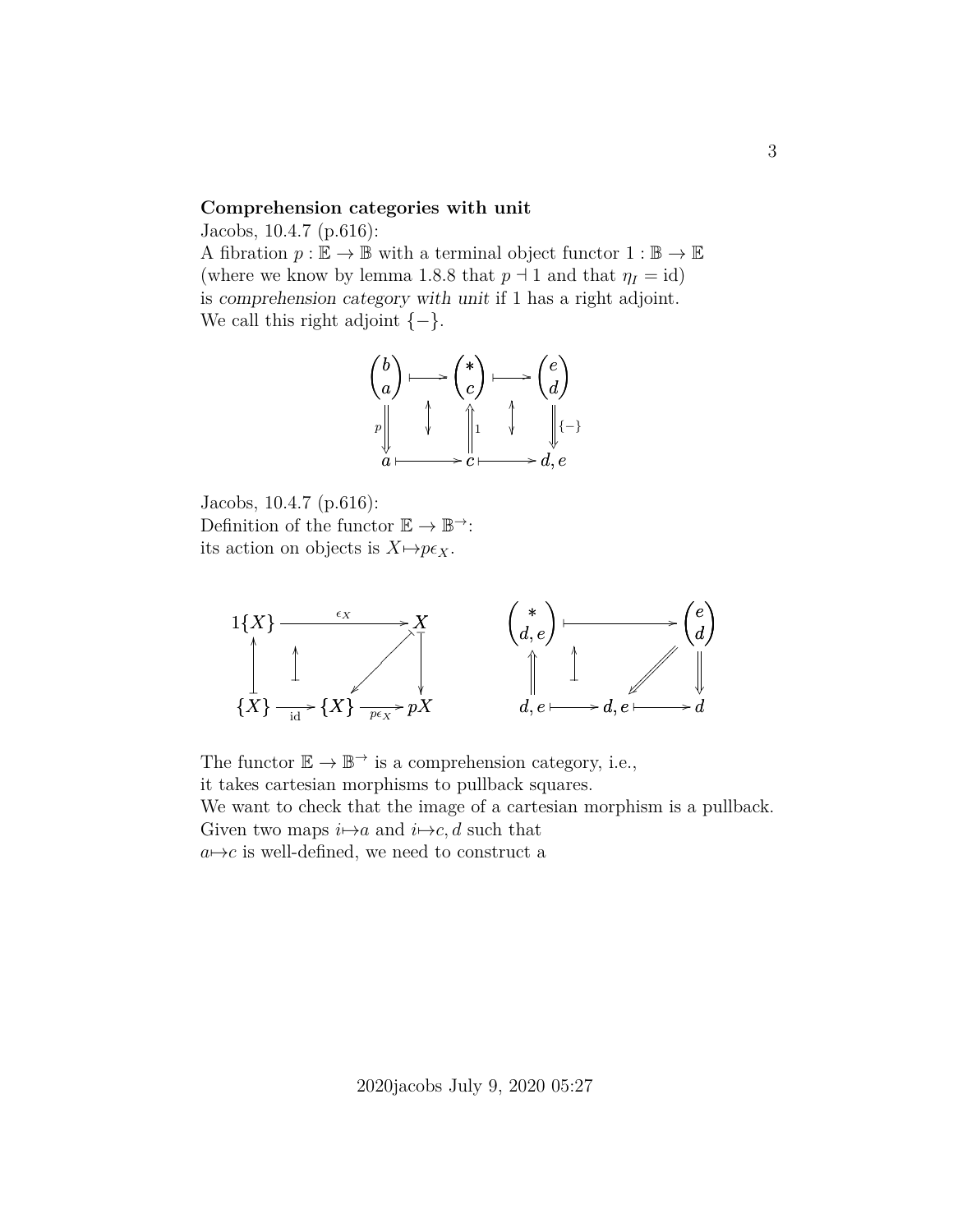#### **Comprehension categories with unit**

Jacobs, 10.4.7 (p.616):

A fibration  $p : \mathbb{E} \to \mathbb{B}$  with a terminal object functor  $1 : \mathbb{B} \to \mathbb{E}$ (where we know by lemma 1.8.8 that  $p \dashv 1$  and that  $\eta_I = id$ ) is comprehension category with unit if 1 has a right adjoint. We call this right adjoint  $\{-\}.$ 



Jacobs, 10.4.7 (p.616): Definition of the functor  $\mathbb{E} \to \mathbb{B}^{\to}$ : its action on objects is  $X \mapsto p\epsilon_X$ .



The functor  $\mathbb{E} \to \mathbb{B}^{\to}$  is a comprehension category, i.e., it takes cartesian morphisms to pullback squares. We want to check that the image of a cartesian morphism is a pullback. Given two maps  $i \mapsto a$  and  $i \mapsto c$ , d such that  $a \mapsto c$  is well-defined, we need to construct a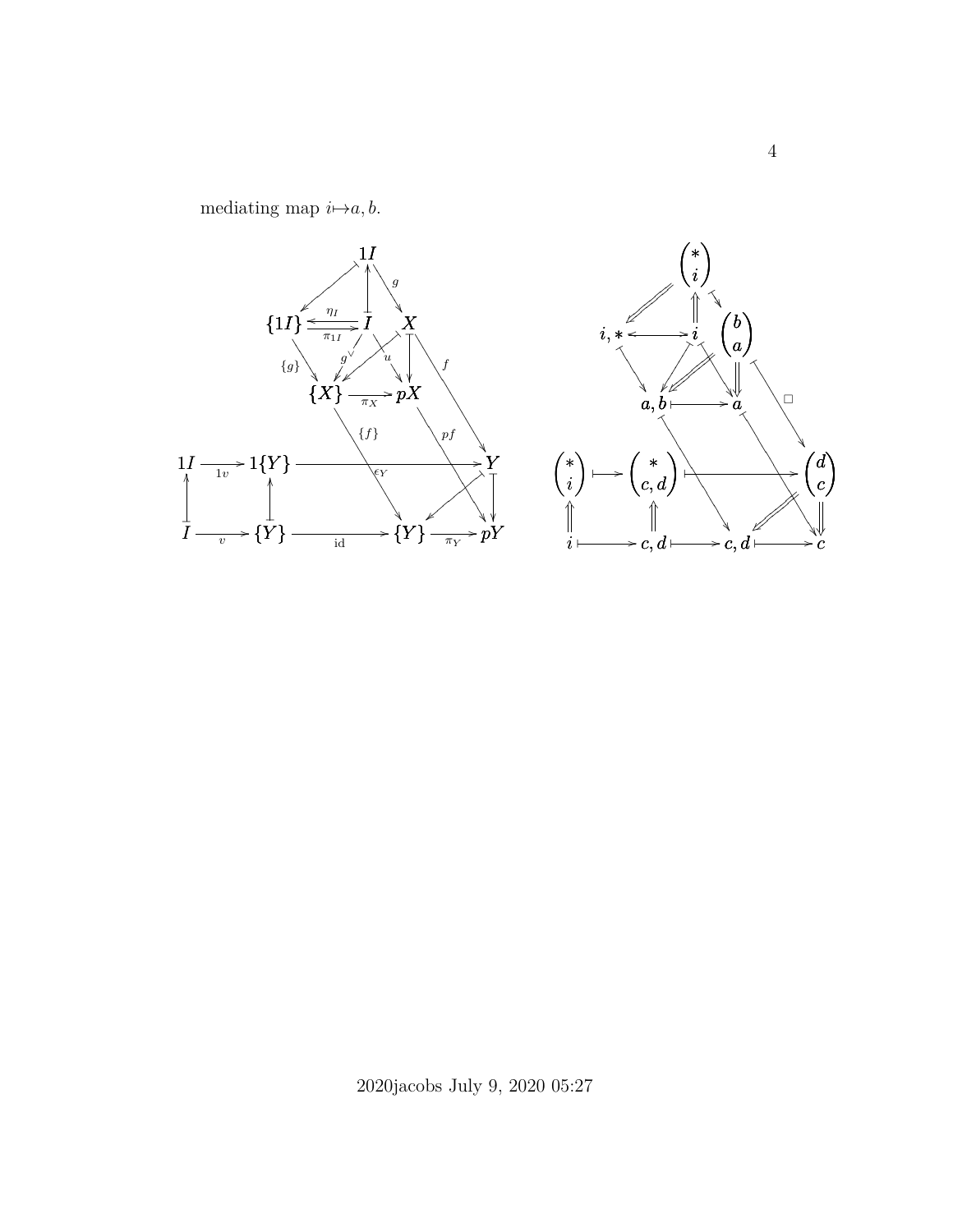

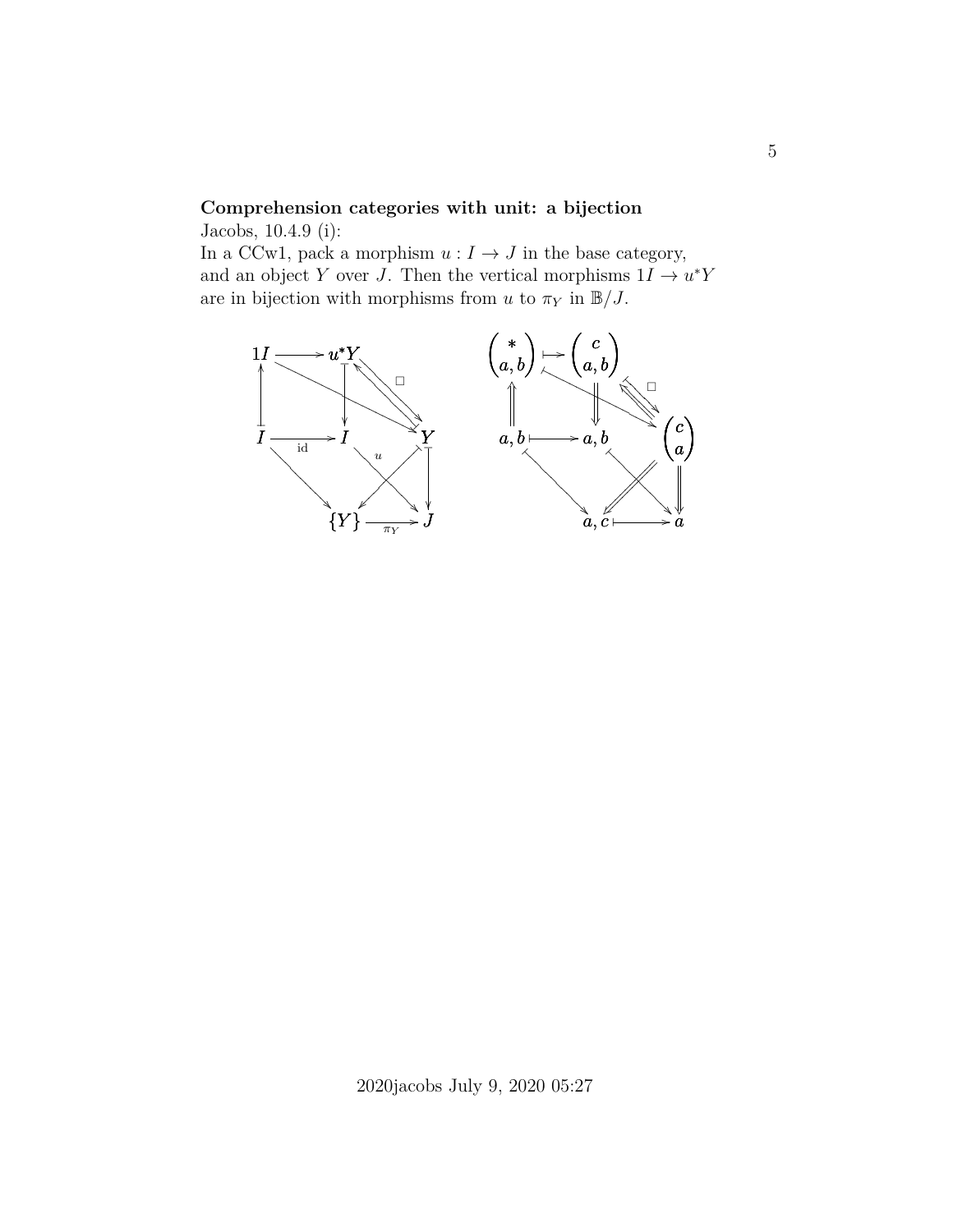## **Comprehension categories with unit: a bijection**

Jacobs, 10.4.9 (i):

In a CCw1, pack a morphism  $u : I \to J$  in the base category, and an object Y over J. Then the vertical morphisms  $1I \rightarrow u^*Y$ are in bijection with morphisms from u to  $\pi_Y$  in  $\mathbb{B}/J$ .

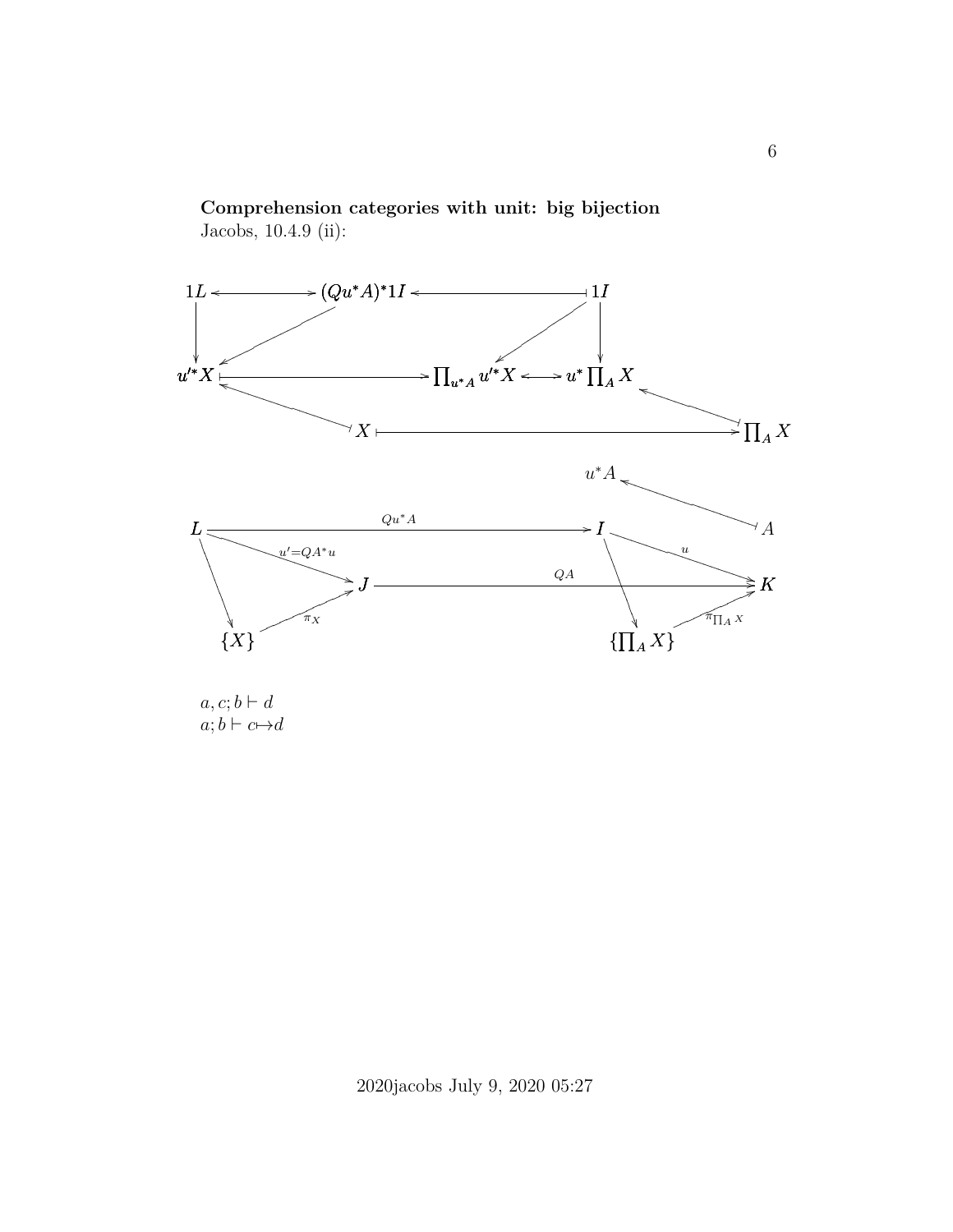



 $a, c; b \vdash d$  $a; b \vdash c \mapsto d$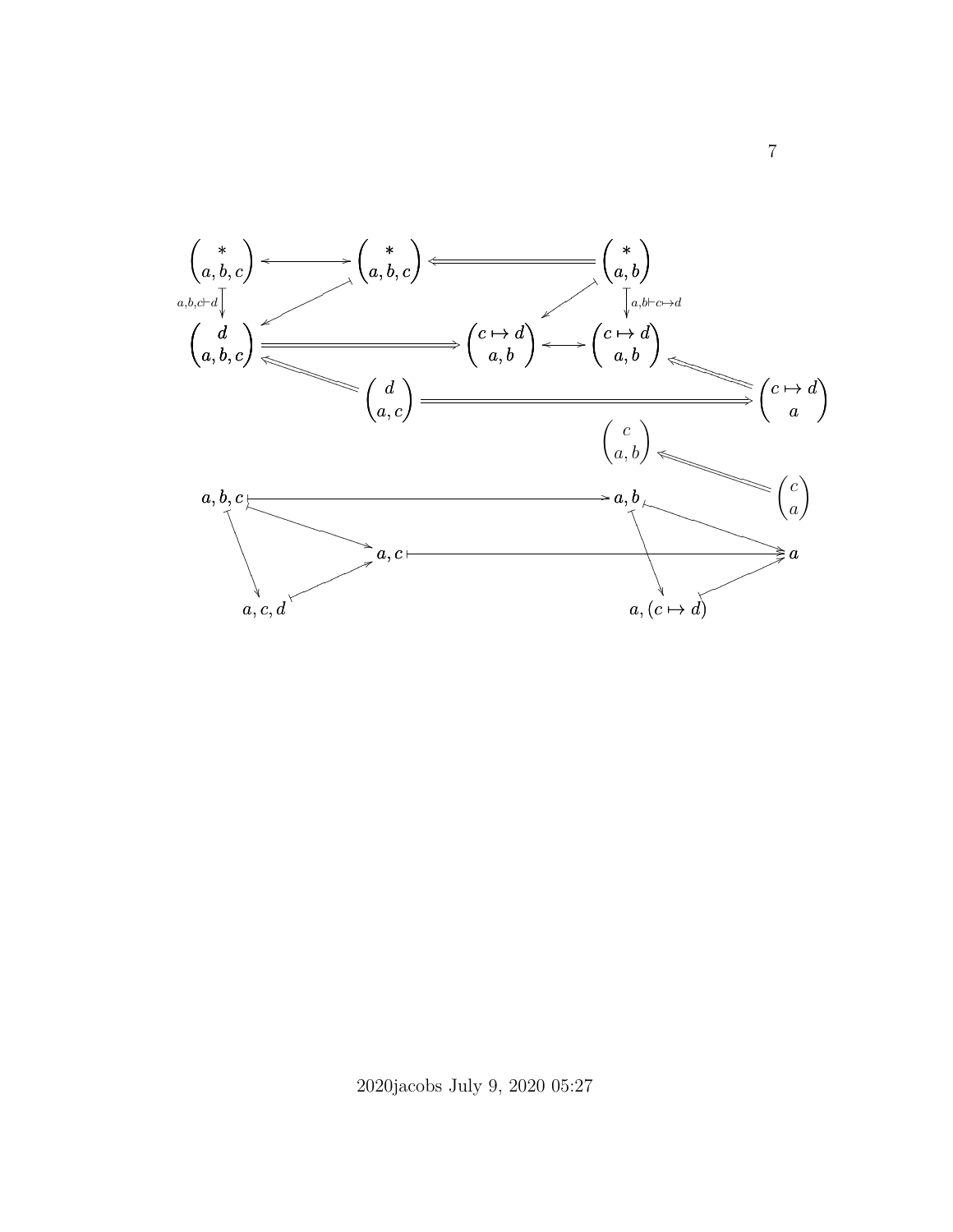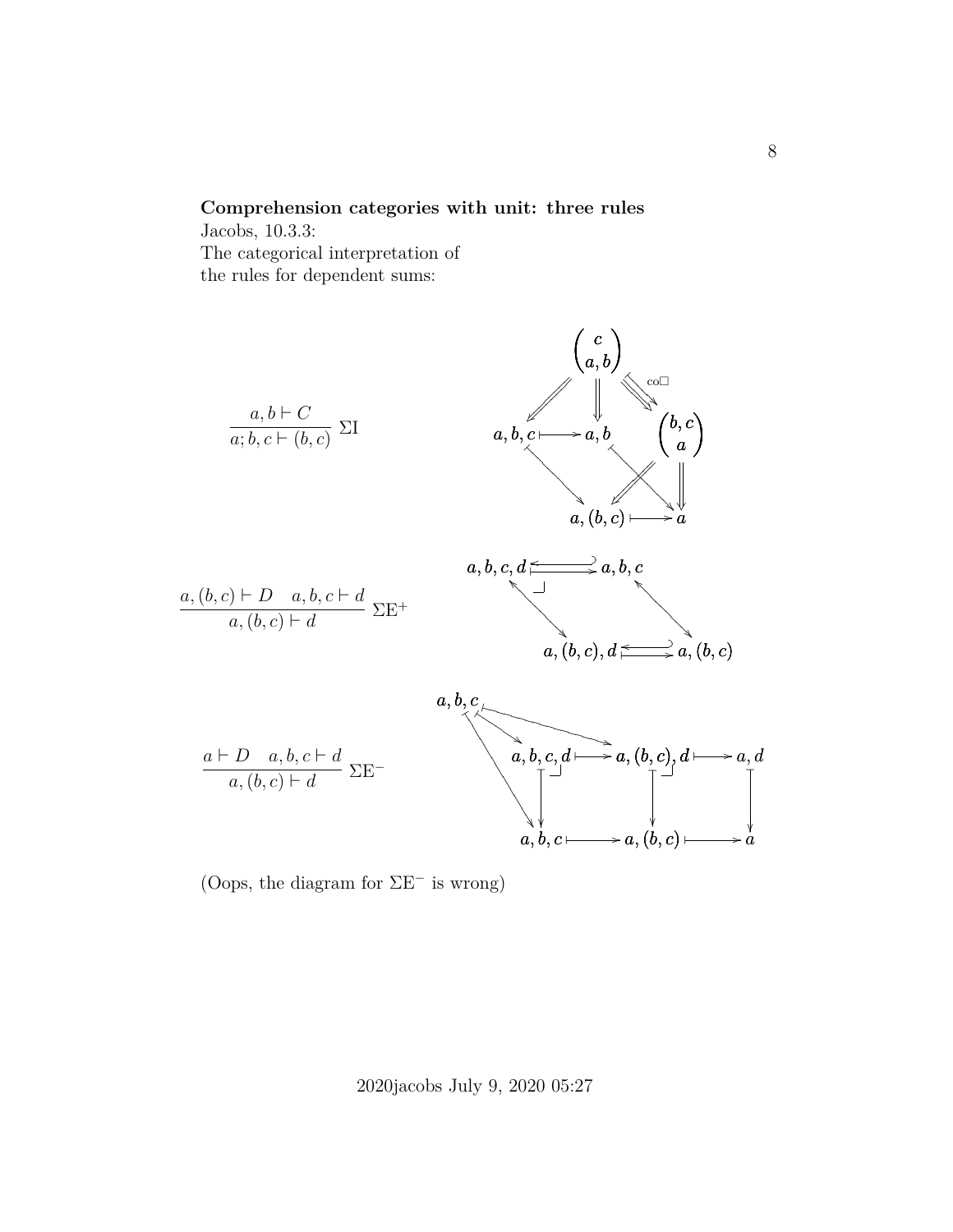### **Comprehension categories with unit: three rules**

Jacobs, 10.3.3: The categorical interpretation of the rules for dependent sums:



(Oops, the diagram for ΣE<sup>−</sup> is wrong)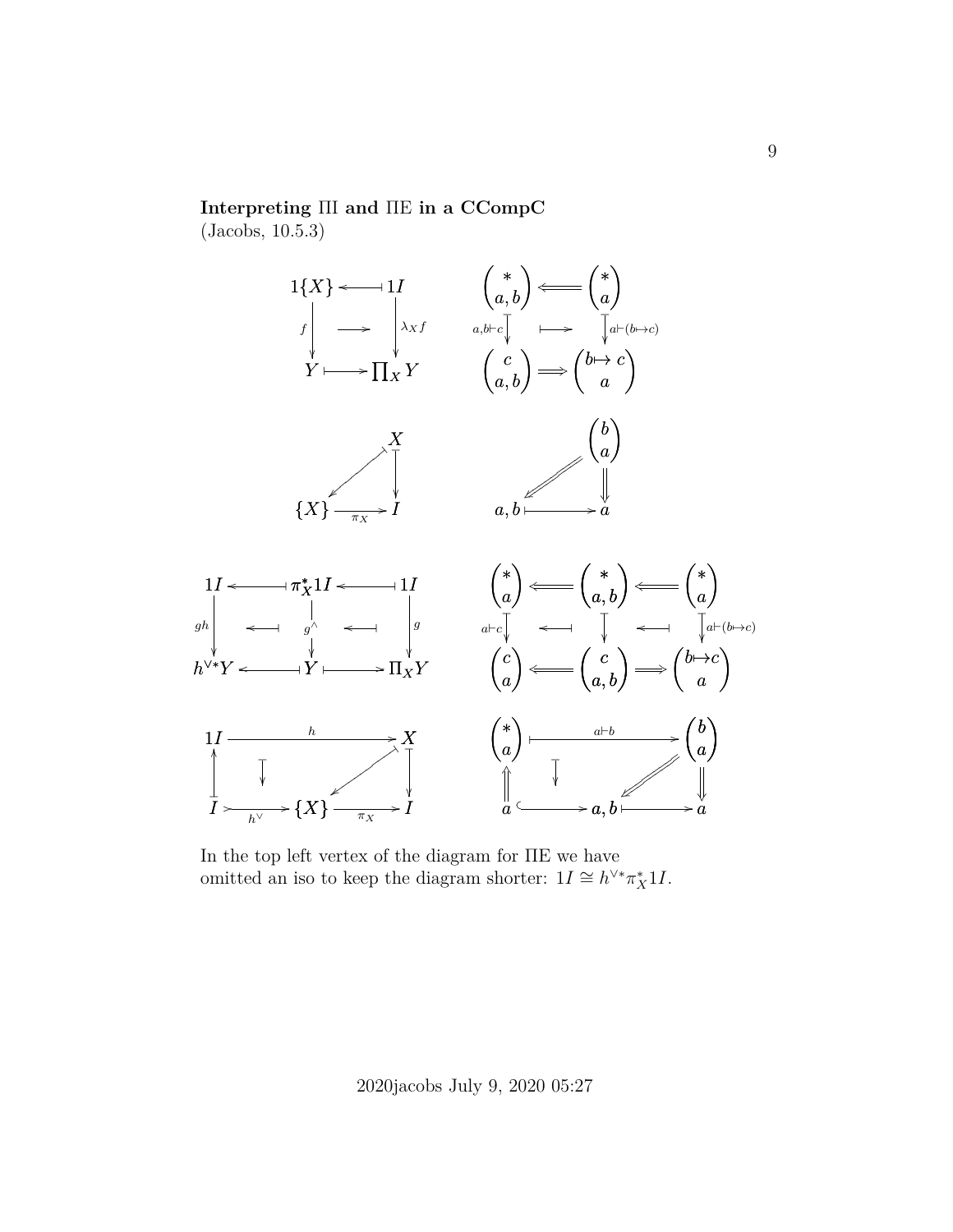#### **Interpreting** ΠI **and** ΠE **in a CCompC**

(Jacobs, 10.5.3)



In the top left vertex of the diagram for ΠE we have omitted an iso to keep the diagram shorter:  $1I \cong h^{\vee*}\pi_X^*1I$ .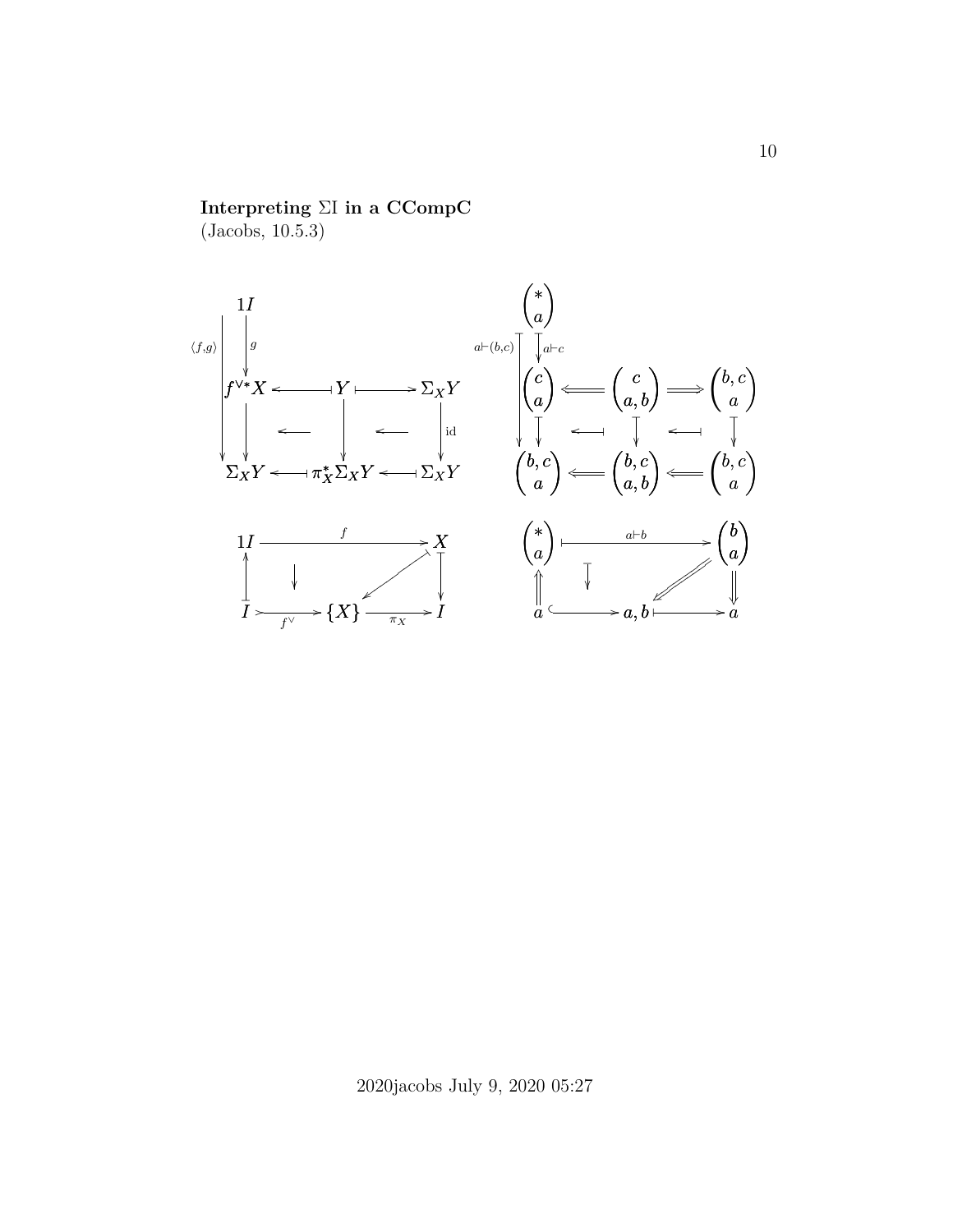## **Interpreting** ΣI **in a CCompC**

(Jacobs, 10.5.3)

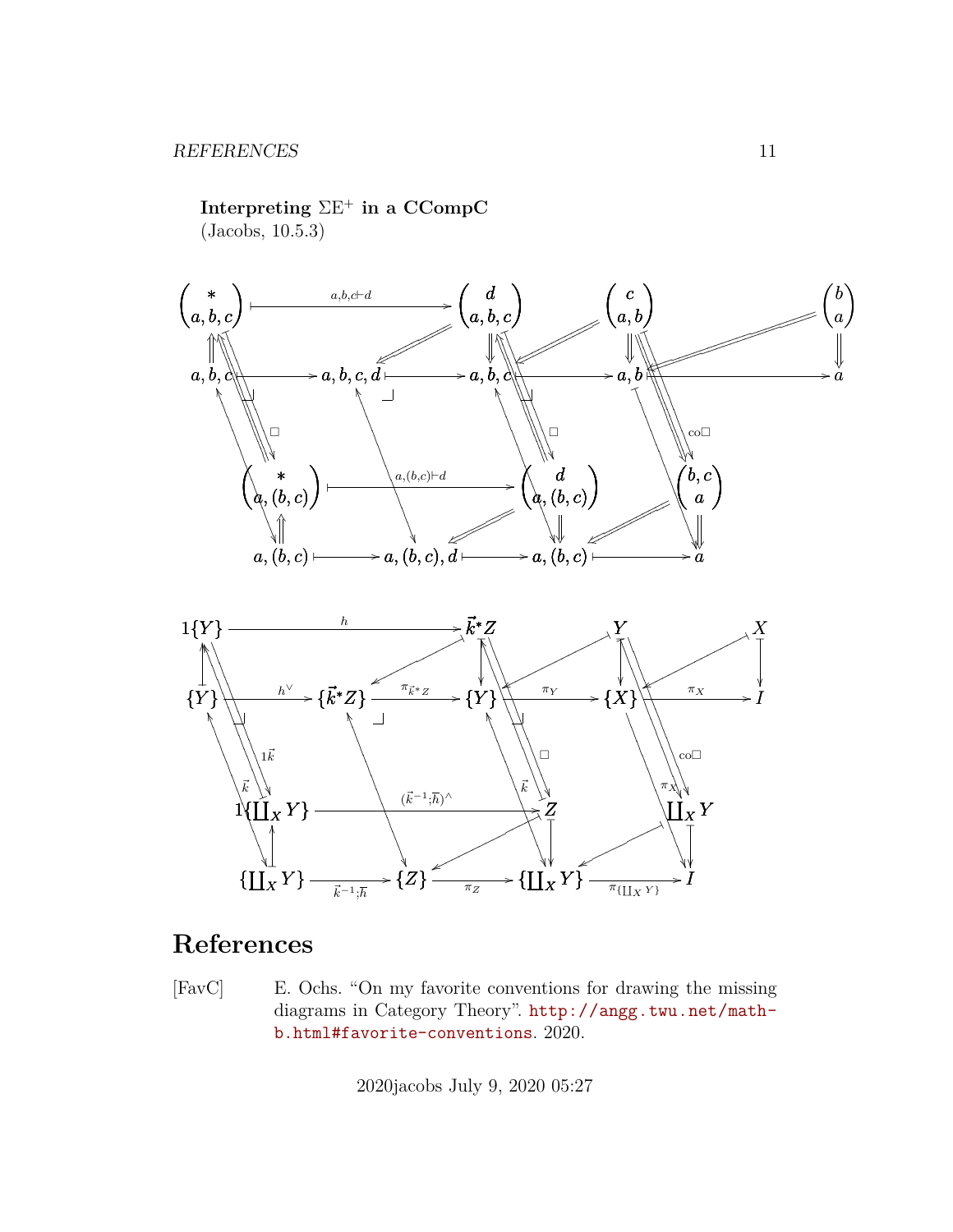Interpreting  $\Sigma E^+$  in a CCompC  $(Jacobs, 10.5.3)$ 



#### $\rightarrow \{\prod_{X}^{\prime\prime} Y\}$  $\{\prod_X^{\infty} Y\}$  - $\ast \{Z\}$  $\frac{\vec{k}^{-1} \cdot \vec{h}}{k}$  $\frac{1}{\pi Z}$  $\frac{\pi_{\left\{\prod_{X}Y\right\}}}{\pi_{\left\{\prod_{X}Y\right\}}}$

# References

<span id="page-10-0"></span> $[{\rm FavC}]$ E. Ochs. "On my favorite conventions for drawing the missing diagrams in Category Theory". http://angg.twu.net/mathb.html#favorite-conventions. 2020.